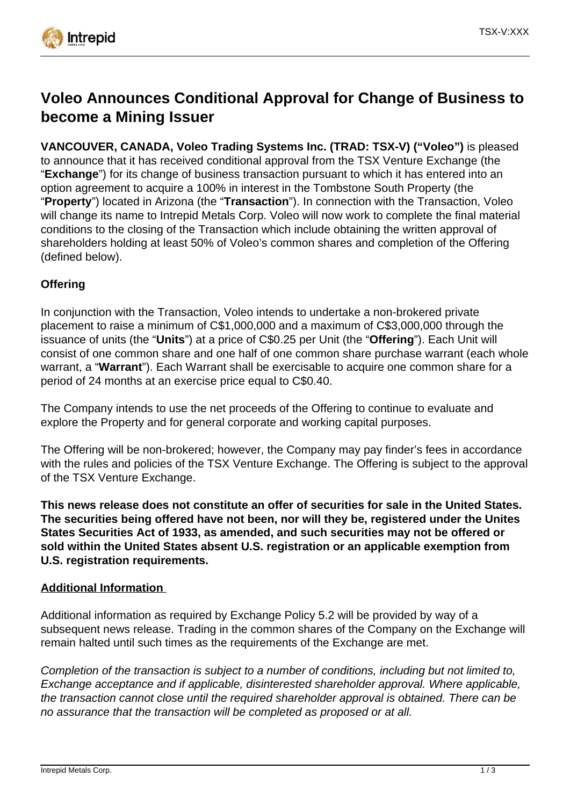

# **Voleo Announces Conditional Approval for Change of Business to become a Mining Issuer**

**VANCOUVER, CANADA, Voleo Trading Systems Inc. (TRAD: TSX-V) ("Voleo")** is pleased to announce that it has received conditional approval from the TSX Venture Exchange (the "**Exchange**") for its change of business transaction pursuant to which it has entered into an option agreement to acquire a 100% in interest in the Tombstone South Property (the "**Property**") located in Arizona (the "**Transaction**"). In connection with the Transaction, Voleo will change its name to Intrepid Metals Corp. Voleo will now work to complete the final material conditions to the closing of the Transaction which include obtaining the written approval of shareholders holding at least 50% of Voleo's common shares and completion of the Offering (defined below).

# **Offering**

In conjunction with the Transaction, Voleo intends to undertake a non-brokered private placement to raise a minimum of C\$1,000,000 and a maximum of C\$3,000,000 through the issuance of units (the "**Units**") at a price of C\$0.25 per Unit (the "**Offering**"). Each Unit will consist of one common share and one half of one common share purchase warrant (each whole warrant, a "**Warrant**"). Each Warrant shall be exercisable to acquire one common share for a period of 24 months at an exercise price equal to C\$0.40.

The Company intends to use the net proceeds of the Offering to continue to evaluate and explore the Property and for general corporate and working capital purposes.

The Offering will be non-brokered; however, the Company may pay finder's fees in accordance with the rules and policies of the TSX Venture Exchange. The Offering is subject to the approval of the TSX Venture Exchange.

**This news release does not constitute an offer of securities for sale in the United States. The securities being offered have not been, nor will they be, registered under the Unites States Securities Act of 1933, as amended, and such securities may not be offered or sold within the United States absent U.S. registration or an applicable exemption from U.S. registration requirements.** 

#### **Additional Information**

Additional information as required by Exchange Policy 5.2 will be provided by way of a subsequent news release. Trading in the common shares of the Company on the Exchange will remain halted until such times as the requirements of the Exchange are met.

Completion of the transaction is subject to a number of conditions, including but not limited to, Exchange acceptance and if applicable, disinterested shareholder approval. Where applicable, the transaction cannot close until the required shareholder approval is obtained. There can be no assurance that the transaction will be completed as proposed or at all.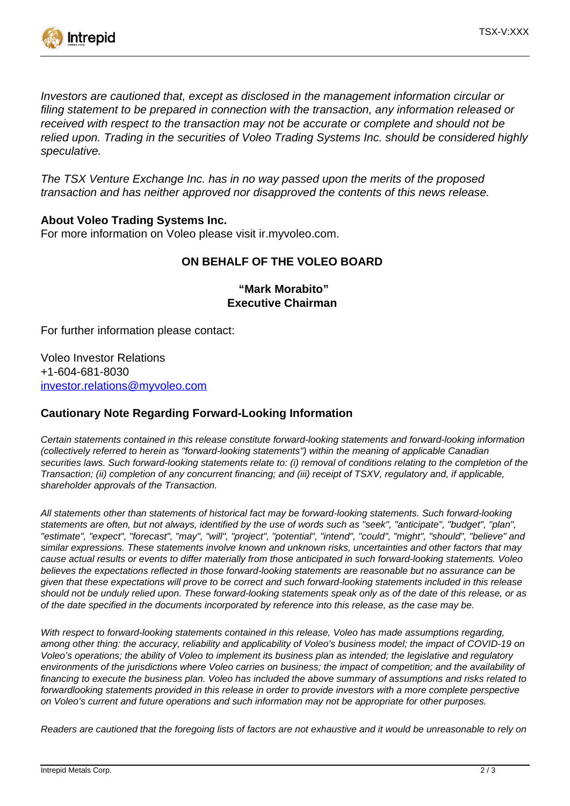

Investors are cautioned that, except as disclosed in the management information circular or filing statement to be prepared in connection with the transaction, any information released or received with respect to the transaction may not be accurate or complete and should not be relied upon. Trading in the securities of Voleo Trading Systems Inc. should be considered highly speculative.

The TSX Venture Exchange Inc. has in no way passed upon the merits of the proposed transaction and has neither approved nor disapproved the contents of this news release.

## **About Voleo Trading Systems Inc.**

For more information on Voleo please visit ir.myvoleo.com.

## **ON BEHALF OF THE VOLEO BOARD**

 **"Mark Morabito" Executive Chairman**

For further information please contact:

Voleo Investor Relations +1-604-681-8030 [investor.relations@myvoleo.com](mailto:investor.relations@myvoleo.com)

#### **Cautionary Note Regarding Forward-Looking Information**

Certain statements contained in this release constitute forward-looking statements and forward-looking information (collectively referred to herein as "forward-looking statements") within the meaning of applicable Canadian securities laws. Such forward-looking statements relate to: (i) removal of conditions relating to the completion of the Transaction; (ii) completion of any concurrent financing; and (iii) receipt of TSXV, regulatory and, if applicable, shareholder approvals of the Transaction.

All statements other than statements of historical fact may be forward-looking statements. Such forward-looking statements are often, but not always, identified by the use of words such as "seek", "anticipate", "budget", "plan", "estimate", "expect", "forecast", "may", "will", "project", "potential", "intend", "could", "might", "should", "believe" and similar expressions. These statements involve known and unknown risks, uncertainties and other factors that may cause actual results or events to differ materially from those anticipated in such forward-looking statements. Voleo believes the expectations reflected in those forward-looking statements are reasonable but no assurance can be given that these expectations will prove to be correct and such forward-looking statements included in this release should not be unduly relied upon. These forward-looking statements speak only as of the date of this release, or as of the date specified in the documents incorporated by reference into this release, as the case may be.

With respect to forward-looking statements contained in this release, Voleo has made assumptions regarding, among other thing: the accuracy, reliability and applicability of Voleo's business model; the impact of COVID-19 on Voleo's operations; the ability of Voleo to implement its business plan as intended; the legislative and regulatory environments of the jurisdictions where Voleo carries on business; the impact of competition; and the availability of financing to execute the business plan. Voleo has included the above summary of assumptions and risks related to forwardlooking statements provided in this release in order to provide investors with a more complete perspective on Voleo's current and future operations and such information may not be appropriate for other purposes.

Readers are cautioned that the foregoing lists of factors are not exhaustive and it would be unreasonable to rely on